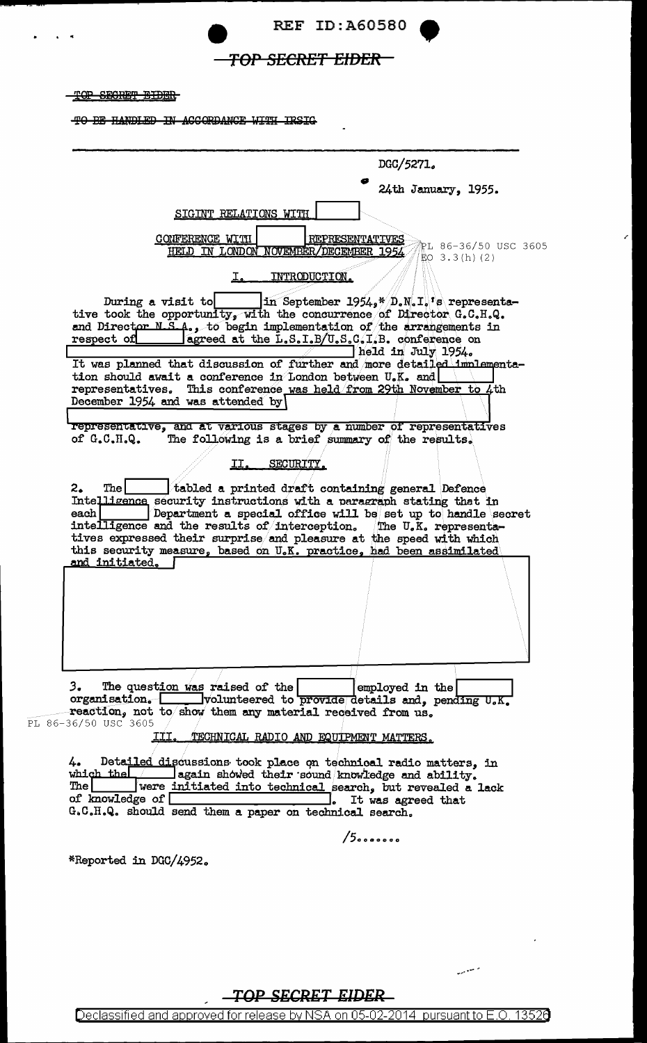

## TOP SECRET EIDER

TOP SECRET EIDER

 $PL$ 

TO BE HANDLED IN ACCORDANCE WITH IRSIG

|                                                                                                               |                                                        |                                                                                                     |                        | DGC/5271.                                                                                                                                                                                                                                                                                                                                                                                                                            |                      |
|---------------------------------------------------------------------------------------------------------------|--------------------------------------------------------|-----------------------------------------------------------------------------------------------------|------------------------|--------------------------------------------------------------------------------------------------------------------------------------------------------------------------------------------------------------------------------------------------------------------------------------------------------------------------------------------------------------------------------------------------------------------------------------|----------------------|
|                                                                                                               |                                                        |                                                                                                     |                        | 24th January, 1955.                                                                                                                                                                                                                                                                                                                                                                                                                  |                      |
|                                                                                                               |                                                        | SIGINT RELATIONS WITH                                                                               |                        |                                                                                                                                                                                                                                                                                                                                                                                                                                      |                      |
|                                                                                                               | CONFERENCE WITH                                        | HELD IN LONDON NOVEMBER/DECEMBER 1954                                                               | <b>REPRESENTATIVES</b> | $EO$ 3.3(h)(2)                                                                                                                                                                                                                                                                                                                                                                                                                       | PL 86-36/50 USC 3605 |
|                                                                                                               |                                                        | I.                                                                                                  | INTRODUCTION.          |                                                                                                                                                                                                                                                                                                                                                                                                                                      |                      |
| respect of                                                                                                    | During a visit to<br>December 1954 and was attended by | tion should await a conference in London between U.K. and                                           |                        | $\ln$ September 1954, $\sqrt[n]{D}$ . N.I. is representa-<br>tive took the opportunity, with the concurrence of Director G.C.H.Q.<br>and Director N.S.A., to begin implementation of the arrangements in<br>agreed at the $L.S.I.B/U.S.C.I.B.$ conference on<br>held in July 1954.<br>It was planned that discussion of further and more detailed implementa-<br>representatives. This conference was held from 29th November to 4th |                      |
|                                                                                                               |                                                        |                                                                                                     |                        |                                                                                                                                                                                                                                                                                                                                                                                                                                      |                      |
| of $G.C.H.Q.$                                                                                                 |                                                        |                                                                                                     |                        | representative, and at various stages by a number of representatives<br>The following is a brief summary of the results.                                                                                                                                                                                                                                                                                                             |                      |
|                                                                                                               |                                                        | SECURITY.<br>II.                                                                                    |                        |                                                                                                                                                                                                                                                                                                                                                                                                                                      |                      |
|                                                                                                               |                                                        |                                                                                                     |                        |                                                                                                                                                                                                                                                                                                                                                                                                                                      |                      |
| The l<br>2.<br>each  <br>and initiated.                                                                       |                                                        | tabled a printed draft containing general Defence                                                   |                        | Intelligence security instructions with a paragraph stating that in<br>Department a special office will be set up to handle secret<br>intelligence and the results of interception. The U.K. representa-<br>tives expressed their surprise and pleasure at the speed with which<br>this security measure, based on U.K. practice, had been assimilated                                                                               |                      |
| 3.<br>86-36/50 USC 3605                                                                                       | The question was raised of the<br>III.                 | reaction, not to show them any material received from us.<br>TECHNICAL RADIO AND EQUIPMENT MATTERS. |                        | employed in the<br>organisation. volunteered to provide details and, pending U.K.                                                                                                                                                                                                                                                                                                                                                    |                      |
| 4.<br>which the $\sqrt{ }$<br>$\mathop{\mathrm{The}} \mathsf{l}$ . The $\mathsf{l}$<br>of knowledge of $\Box$ |                                                        | G.C.H.Q. should send them a paper on technical search.                                              |                        | Detailed discussions took place on technical radio matters, in<br>again showed their sound knowledge and ability.<br>were initiated into technical search, but revealed a lack<br>It was agreed that                                                                                                                                                                                                                                 |                      |
|                                                                                                               |                                                        |                                                                                                     | $/5$                   |                                                                                                                                                                                                                                                                                                                                                                                                                                      |                      |

TOP SECRET EIDER

المستبين

Declassified and approved for release by NSA on 05-02-2014 pursuant to E.O. 13526